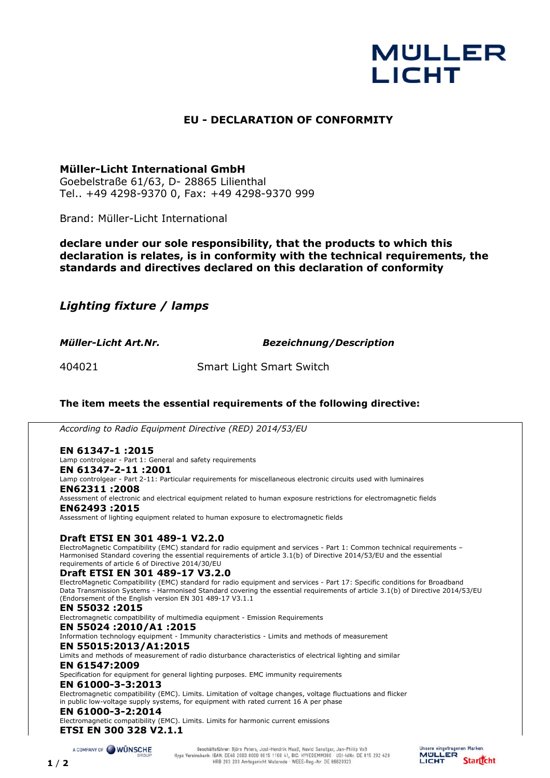# **MULLER LICHT**

# **EU - DECLARATION OF CONFORMITY**

# **Müller-Licht International GmbH**

Goebelstraße 61/63, D- 28865 Lilienthal Tel.. +49 4298-9370 0, Fax: +49 4298-9370 999

Brand: Müller-Licht International

**declare under our sole responsibility, that the products to which this declaration is relates, is in conformity with the technical requirements, the standards and directives declared on this declaration of conformity**

*Lighting fixture / lamps* 

*Müller-Licht Art.Nr. Bezeichnung/Description*

404021 Smart Light Smart Switch

# **The item meets the essential requirements of the following directive:**

*According to Radio Equipment Directive (RED) 2014/53/EU*

**EN 61347-1 :2015**  Lamp controlgear - Part 1: General and safety requirements

**EN 61347-2-11 :2001**  Lamp controlgear - Part 2-11: Particular requirements for miscellaneous electronic circuits used with luminaires **EN62311 :2008**  Assessment of electronic and electrical equipment related to human exposure restrictions for electromagnetic fields

**EN62493 :2015** 

Assessment of lighting equipment related to human exposure to electromagnetic fields

## **Draft ETSI EN 301 489-1 V2.2.0**

ElectroMagnetic Compatibility (EMC) standard for radio equipment and services - Part 1: Common technical requirements – Harmonised Standard covering the essential requirements of article 3.1(b) of Directive 2014/53/EU and the essential requirements of article 6 of Directive 2014/30/EU

## **Draft ETSI EN 301 489-17 V3.2.0**

ElectroMagnetic Compatibility (EMC) standard for radio equipment and services - Part 17: Specific conditions for Broadband Data Transmission Systems - Harmonised Standard covering the essential requirements of article 3.1(b) of Directive 2014/53/EU (Endorsement of the English version EN 301 489-17 V3.1.1

#### **EN 55032 :2015**

Electromagnetic compatibility of multimedia equipment - Emission Requirements

**EN 55024 :2010/A1 :2015**

Information technology equipment - Immunity characteristics - Limits and methods of measurement

#### **EN 55015:2013/A1:2015**

Limits and methods of measurement of radio disturbance characteristics of electrical lighting and similar

# **EN 61547:2009**

Specification for equipment for general lighting purposes. EMC immunity requirements

## **EN 61000-3-3:2013**

Electromagnetic compatibility (EMC). Limits. Limitation of voltage changes, voltage fluctuations and flicker in public low-voltage supply systems, for equipment with rated current 16 A per phase

#### **EN 61000-3-2:2014**

Electromagnetic compatibility (EMC). Limits. Limits for harmonic current emissions **ETSI EN 300 328 V2.1.1**

A COMPANY OF WÜNSCHE

Geschäftsführer: Björn Peters, Jost-Hendrik Maaß, Navid Sanatgar, Jan-Philip Voß<br>Hypo Vereinsbank: IBAN: DE46 2003 0000 0015 1168 41, BIC: HYVEDEMM300 · USt-IdNr. DE 815 292 428 HRB 203 203 Amtsgericht Walsrode WEEE-Reg.-Nr. DE 86620323